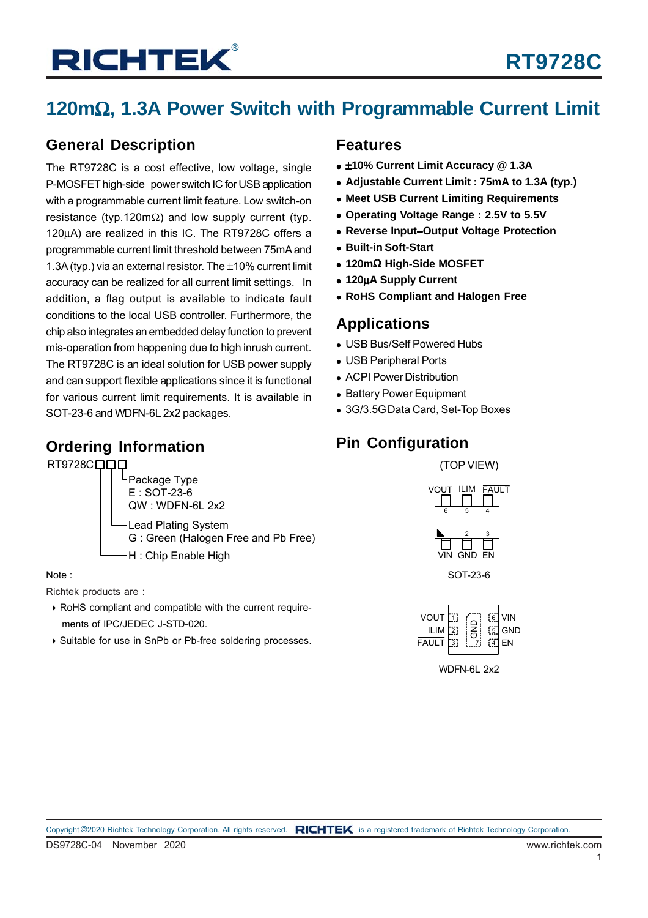## **120m**Ω**, 1.3A Power Switch with Programmable Current Limit**

### **General Description**

The RT9728C is a cost effective, low voltage, single P-MOSFET high-side power switch IC for USB application with a programmable current limit feature. Low switch-on resistance (typ.120m $\Omega$ ) and low supply current (typ. 120μA) are realized in this IC. The RT9728C offers a programmable current limit threshold between 75mA and 1.3A (typ.) via an external resistor. The ±10% current limit accuracy can be realized for all current limit settings. In addition, a flag output is available to indicate fault conditions to the local USB controller. Furthermore, the chip also integrates an embedded delay function to prevent mis-operation from happening due to high inrush current. The RT9728C is an ideal solution for USB power supply and can support flexible applications since it is functional for various current limit requirements. It is available in SOT-23-6 and WDFN-6L 2x2 packages.

### **Ordering Information**

#### RT9728C<sub>DD</sub>



#### Note :

Richtek products are :

- RoHS compliant and compatible with the current require ments of IPC/JEDEC J-STD-020.
- ▶ Suitable for use in SnPb or Pb-free soldering processes.

### **Features**

- ±**10% Current Limit Accuracy @ 1.3A**
- **Adjustable Current Limit : 75mA to 1.3A (typ.)**
- **Meet USB Current Limiting Requirements**
- **Operating Voltage Range : 2.5V to 5.5V**
- **Reverse Input**−**Output Voltage Protection**
- **Built-in Soft-Start**
- **120m**Ω **High-Side MOSFET**
- **120**μ**A Supply Current**
- **RoHS Compliant and Halogen Free**

### **Applications**

- USB Bus/Self Powered Hubs
- USB Peripheral Ports
- ACPI Power Distribution
- Battery Power Equipment
- 3G/3.5G Data Card, Set-Top Boxes

### **Pin Configuration**

(TOP VIEW)



SOT-23-6

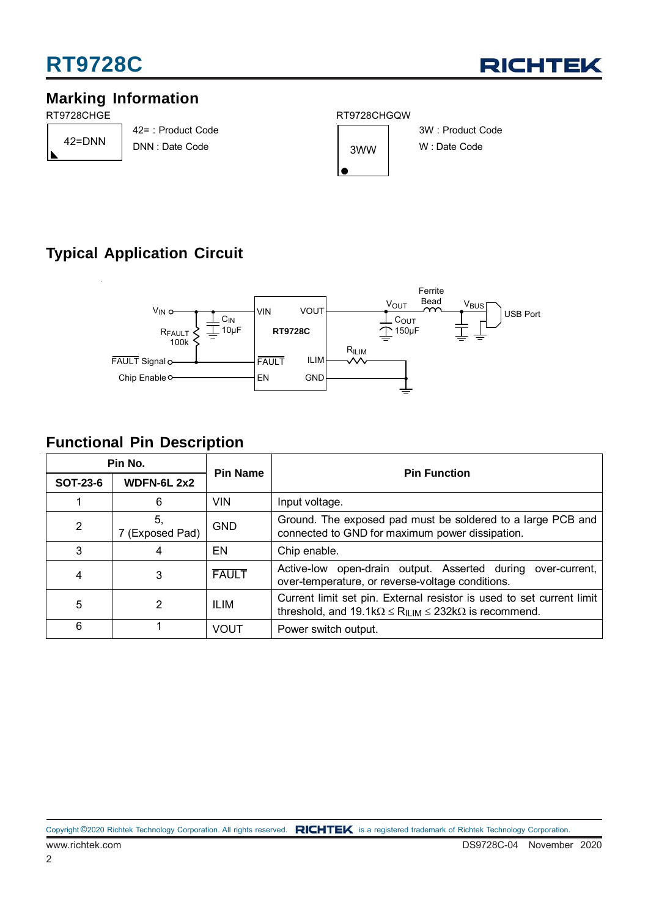## **RT9728C**



### **Marking Information**

RT9728CHGE

42=DNN

42= : Product Code DNN : Date Code





3W : Product Code W : Date Code

## **Typical Application Circuit**



### **Functional Pin Description**

| Pin No.         |                       | <b>Pin Name</b> | <b>Pin Function</b>                                                                                                                                       |  |  |  |
|-----------------|-----------------------|-----------------|-----------------------------------------------------------------------------------------------------------------------------------------------------------|--|--|--|
| <b>SOT-23-6</b> | <b>WDFN-6L 2x2</b>    |                 |                                                                                                                                                           |  |  |  |
|                 | 6                     | VIN             | Input voltage.                                                                                                                                            |  |  |  |
| $\overline{2}$  | 5.<br>7 (Exposed Pad) | <b>GND</b>      | Ground. The exposed pad must be soldered to a large PCB and<br>connected to GND for maximum power dissipation.                                            |  |  |  |
| 3               | 4                     | <b>EN</b>       | Chip enable.                                                                                                                                              |  |  |  |
| 4               | 3                     | <b>FAULT</b>    | Active-low open-drain output. Asserted during over-current,<br>over-temperature, or reverse-voltage conditions.                                           |  |  |  |
| 5               | 2                     | ILIM            | Current limit set pin. External resistor is used to set current limit<br>threshold, and 19.1k $\Omega \leq R_{\text{ILIM}} \leq 232k\Omega$ is recommend. |  |  |  |
| 6               |                       | <b>VOUT</b>     | Power switch output.                                                                                                                                      |  |  |  |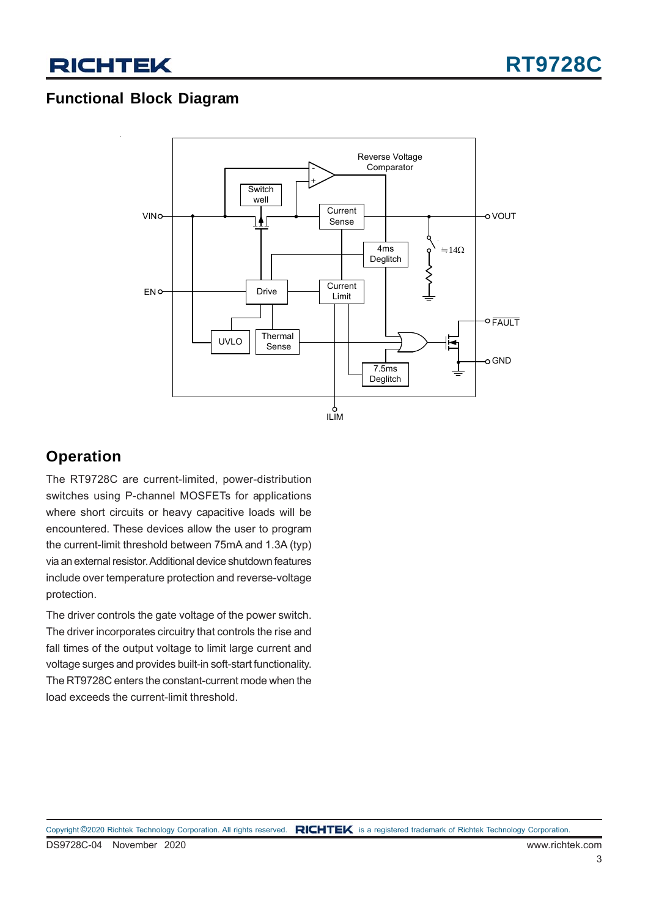### **Functional Block Diagram**



### **Operation**

The RT9728C are current-limited, power-distribution switches using P-channel MOSFETs for applications where short circuits or heavy capacitive loads will be encountered. These devices allow the user to program the current-limit threshold between 75mA and 1.3A (typ) via an external resistor. Additional device shutdown features include over temperature protection and reverse-voltage protection.

The driver controls the gate voltage of the power switch. The driver incorporates circuitry that controls the rise and fall times of the output voltage to limit large current and voltage surges and provides built-in soft-start functionality. The RT9728C enters the constant-current mode when the load exceeds the current-limit threshold.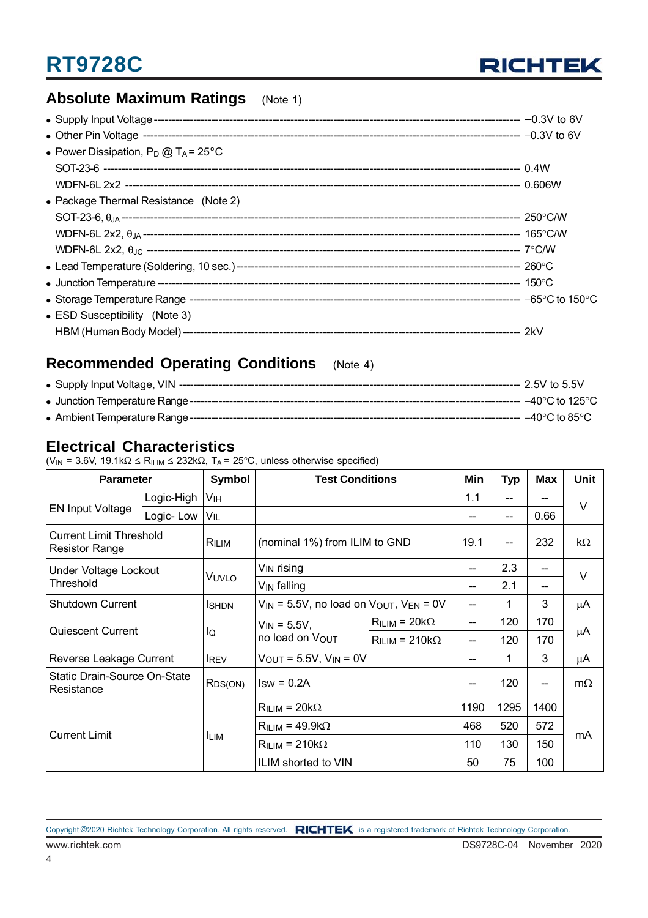## **RT9728C**



### **Absolute Maximum Ratings** (Note 1)

| • Power Dissipation, $P_D @ T_A = 25^{\circ}C$ |  |
|------------------------------------------------|--|
|                                                |  |
|                                                |  |
| • Package Thermal Resistance (Note 2)          |  |
|                                                |  |
|                                                |  |
|                                                |  |
|                                                |  |
|                                                |  |
|                                                |  |
| • ESD Susceptibility (Note 3)                  |  |
|                                                |  |

### **Recommended Operating Conditions** (Note 4)

### **Electrical Characteristics**

(V<sub>IN</sub> = 3.6V, 19.1k $\Omega \le R_{\text{lLIM}} \le 232k\Omega$ , T<sub>A</sub> = 25°C, unless otherwise specified)

| <b>Parameter</b>                                        |            | Symbol                | <b>Test Conditions</b>                                |                           | Min        | <b>Typ</b> | Max  | Unit      |  |
|---------------------------------------------------------|------------|-----------------------|-------------------------------------------------------|---------------------------|------------|------------|------|-----------|--|
| <b>EN Input Voltage</b>                                 | Logic-High | <b>V<sub>IH</sub></b> |                                                       |                           | 1.1        |            |      | V         |  |
|                                                         | Logic-Low  | VIL                   |                                                       |                           |            | $-$        | 0.66 |           |  |
| <b>Current Limit Threshold</b><br><b>Resistor Range</b> |            | RILIM                 | (nominal 1%) from ILIM to GND                         |                           | 19.1       | $-$        | 232  | kΩ        |  |
| Under Voltage Lockout                                   |            |                       | V <sub>IN</sub> rising                                |                           |            | 2.3        | --   |           |  |
| Threshold                                               |            | VUVLO                 | V <sub>IN</sub> falling                               |                           |            | 2.1        | --   | $\vee$    |  |
| <b>Shutdown Current</b>                                 |            | <b>I</b> SHDN         | $V_{IN}$ = 5.5V, no load on $V_{OUT}$ , $V_{EN}$ = 0V |                           | --         | 1          | 3    | μA        |  |
| <b>Quiescent Current</b>                                |            | lQ                    | $V_{IN} = 5.5V,$<br>no load on VOUT                   | $R_{ILIM}$ = 20k $\Omega$ |            | 120        | 170  | μA        |  |
|                                                         |            |                       |                                                       | $RILIM = 210kΩ$           |            | 120        | 170  |           |  |
| Reverse Leakage Current                                 |            | <b>IREV</b>           | $V_{OUT} = 5.5V, V_{IN} = 0V$                         |                           | --         | 1          | 3    | μA        |  |
| <b>Static Drain-Source On-State</b><br>Resistance       |            | $R_{DS(ON)}$          | $ISW = 0.2A$                                          |                           |            | 120        | --   | $m\Omega$ |  |
| <b>Current Limit</b>                                    |            |                       | $R_{ILIM}$ = 20k $\Omega$                             |                           | 1190       | 1295       | 1400 | mA        |  |
|                                                         |            |                       | $RILIM = 49.9kΩ$                                      |                           | 520<br>468 |            | 572  |           |  |
|                                                         |            | <b>ILIM</b>           | $R_{ILIM}$ = 210k $\Omega$                            |                           | 110        | 130        | 150  |           |  |
|                                                         |            |                       | ILIM shorted to VIN                                   |                           | 50         | 75         | 100  |           |  |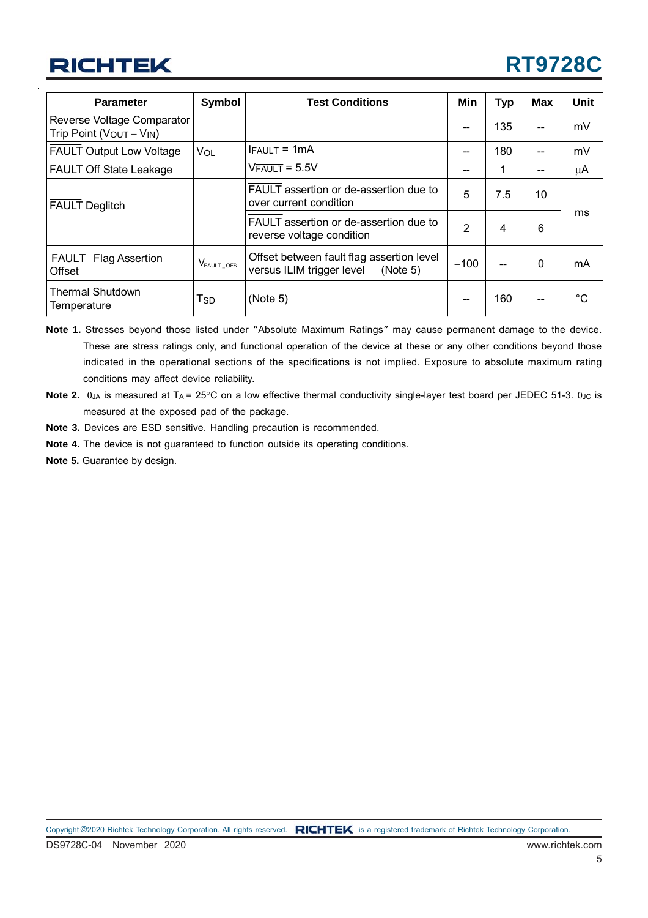## **RT9728C**

| <b>Parameter</b>                                                | Symbol                               | <b>Test Conditions</b>                                                             | Min            | <b>Typ</b> | <b>Max</b> | <b>Unit</b> |
|-----------------------------------------------------------------|--------------------------------------|------------------------------------------------------------------------------------|----------------|------------|------------|-------------|
| Reverse Voltage Comparator<br>Trip Point ( $V_{OUT} - V_{IN}$ ) |                                      |                                                                                    | --             | 135        | --         | mV          |
| <b>FAULT Output Low Voltage</b>                                 | VOL                                  | $l$ FAULT = 1mA                                                                    | --             | 180        | --         | mV          |
| <b>FAULT Off State Leakage</b>                                  |                                      | $V$ FAULT = 5.5V                                                                   | --             | 1          |            | μA          |
| <b>FAULT Deglitch</b>                                           |                                      | FAULT assertion or de-assertion due to<br>over current condition                   | 5              | 7.5        | 10         |             |
|                                                                 |                                      | FAULT assertion or de-assertion due to<br>reverse voltage condition                | $\overline{2}$ | 4          | 6          | ms          |
| FAULT Flag Assertion<br>Offset                                  | $V_{\overline{\mathsf{FAULT}}\_OFS}$ | Offset between fault flag assertion level<br>versus ILIM trigger level<br>(Note 5) | $-100$         | --         | 0          | mA          |
| <b>Thermal Shutdown</b><br>Temperature                          | Гsр                                  | (Note 5)                                                                           | --             | 160        | --         | $^{\circ}C$ |

**Note 1.** Stresses beyond those listed under "Absolute Maximum Ratings" may cause permanent damage to the device. These are stress ratings only, and functional operation of the device at these or any other conditions beyond those indicated in the operational sections of the specifications is not implied. Exposure to absolute maximum rating conditions may affect device reliability.

- **Note 2.**  $θ_{JA}$  is measured at T<sub>A</sub> = 25°C on a low effective thermal conductivity single-layer test board per JEDEC 51-3.  $θ_{JC}$  is measured at the exposed pad of the package.
- **Note 3.** Devices are ESD sensitive. Handling precaution is recommended.
- **Note 4.** The device is not guaranteed to function outside its operating conditions.
- **Note 5.** Guarantee by design.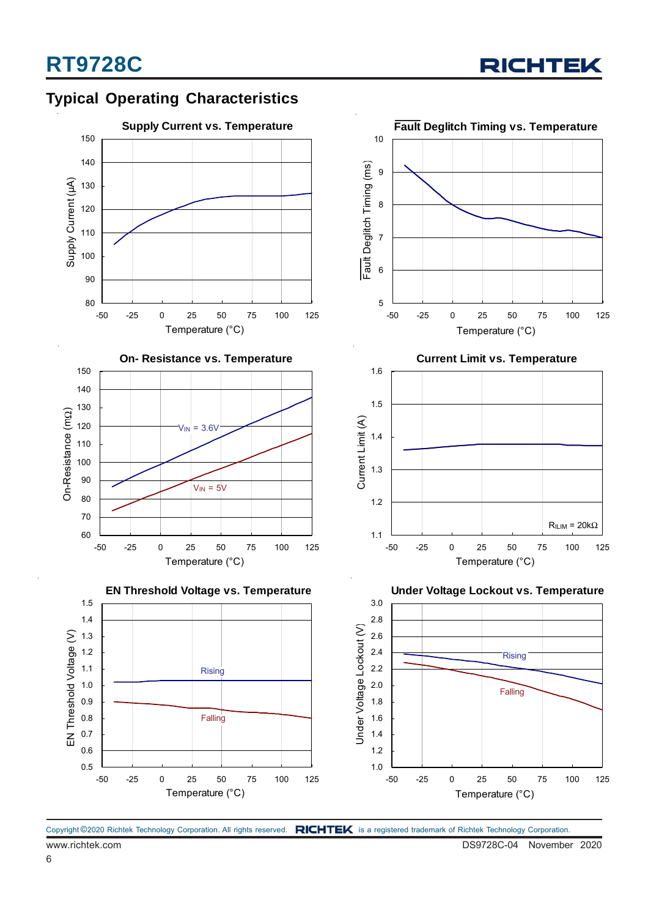

## **Typical Operating Characteristics**







**Under Voltage Lockout vs. Temperature**

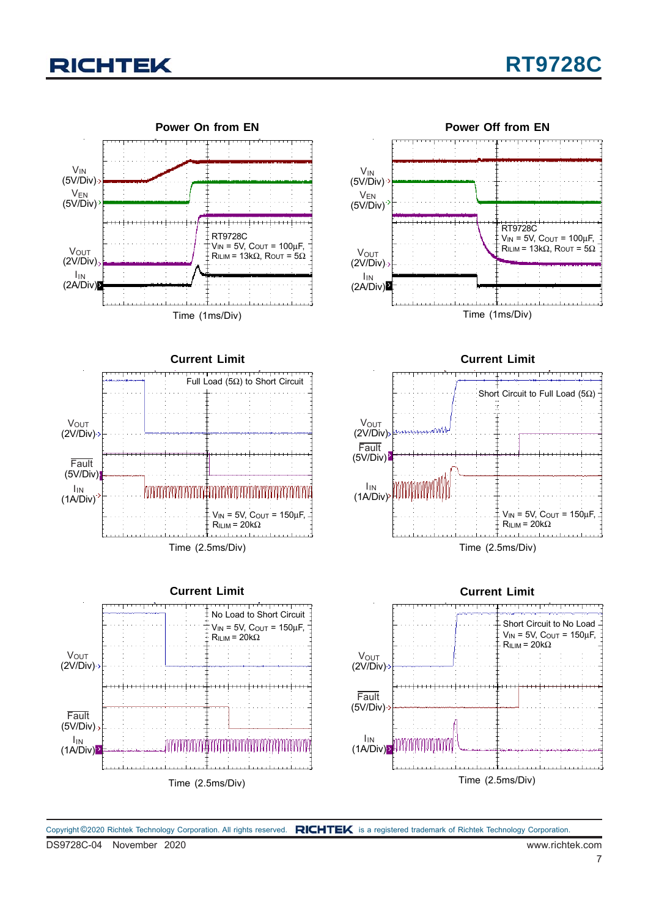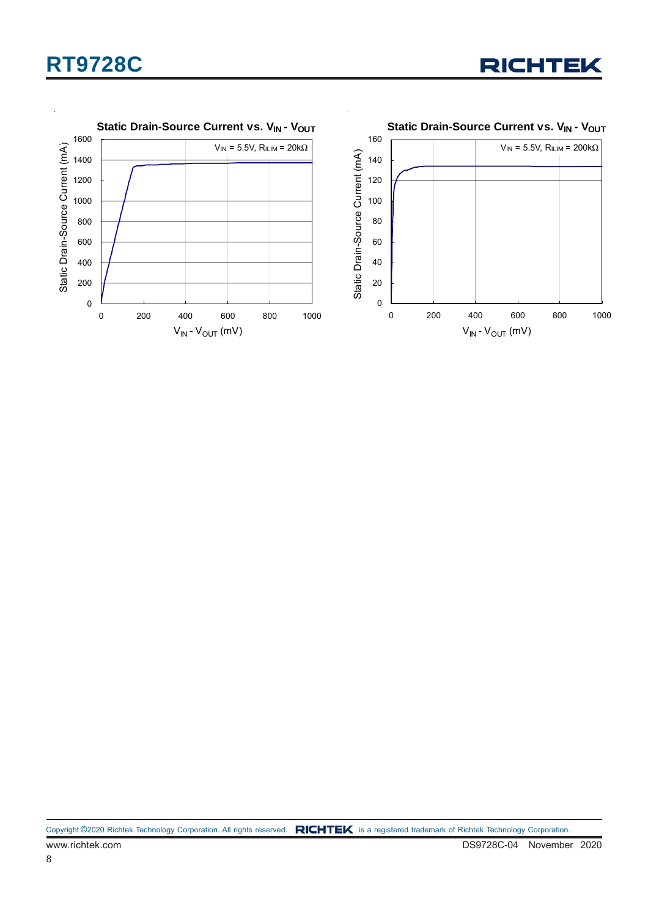## **RT9728C**





Copyright ©2020 Richtek Technology Corporation. All rights reserved. RICHTEK is a registered trademark of Richtek Technology Corporation.

8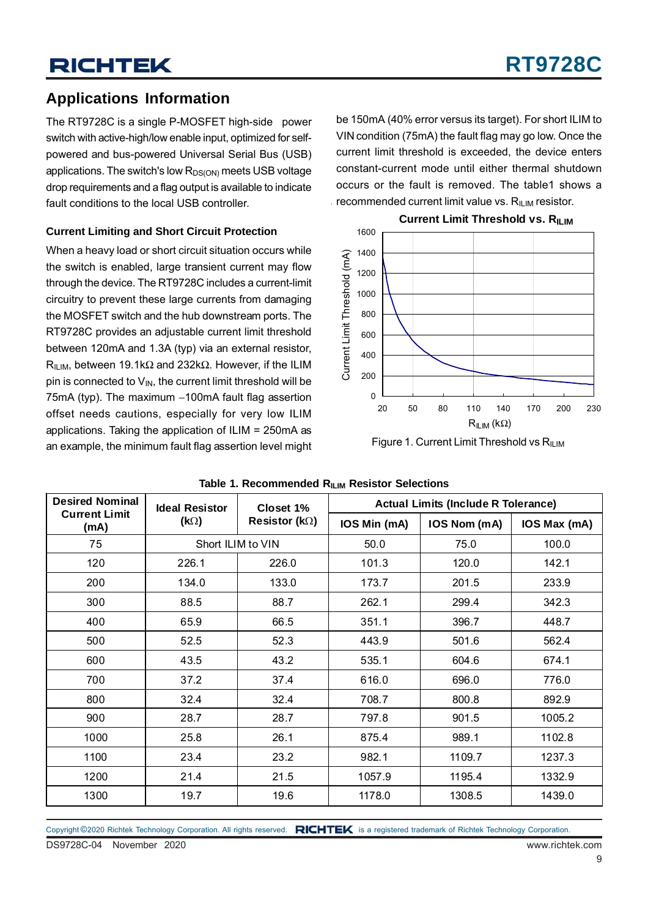## **Applications Information**

The RT9728C is a single P-MOSFET high-side power switch with active-high/low enable input, optimized for selfpowered and bus-powered Universal Serial Bus (USB) applications. The switch's low  $R_{DS(ON)}$  meets USB voltage drop requirements and a flag output is available to indicate fault conditions to the local USB controller.

### **Current Limiting and Short Circuit Protection**

When a heavy load or short circuit situation occurs while the switch is enabled, large transient current may flow through the device. The RT9728C includes a current-limit circuitry to prevent these large currents from damaging the MOSFET switch and the hub downstream ports. The RT9728C provides an adjustable current limit threshold between 120mA and 1.3A (typ) via an external resistor, R<sub>ILIM</sub>, between 19.1kΩ and 232kΩ. However, if the ILIM pin is connected to  $V_{IN}$ , the current limit threshold will be 75mA (typ). The maximum −100mA fault flag assertion offset needs cautions, especially for very low ILIM applications. Taking the application of ILIM = 250mA as an example, the minimum fault flag assertion level might Figure 1. Current Limit Threshold vs R<sub>ILIM</sub>

be 150mA (40% error versus its target). For short ILIM to VIN condition (75mA) the fault flag may go low. Once the current limit threshold is exceeded, the device enters constant-current mode until either thermal shutdown occurs or the fault is removed. The table1 shows a recommended current limit value vs.  $R_{\text{HIM}}$  resistor.



**Current Limit Threshold vs. RILIM** 

| <b>Desired Nominal</b>       | <b>Ideal Resistor</b> | Closet 1%              | <b>Actual Limits (Include R Tolerance)</b> |              |              |  |
|------------------------------|-----------------------|------------------------|--------------------------------------------|--------------|--------------|--|
| <b>Current Limit</b><br>(mA) | $(k\Omega)$           | Resistor ( $k\Omega$ ) | IOS Min (mA)                               | IOS Nom (mA) | IOS Max (mA) |  |
| 75                           |                       | Short ILIM to VIN      | 50.0                                       | 75.0         | 100.0        |  |
| 120                          | 226.1                 | 226.0                  | 101.3                                      | 120.0        | 142.1        |  |
| 200                          | 134.0                 | 133.0                  | 173.7                                      | 201.5        | 233.9        |  |
| 300                          | 88.5                  | 88.7                   | 262.1                                      | 299.4        | 342.3        |  |
| 400                          | 65.9                  | 66.5                   | 351.1                                      | 396.7        | 448.7        |  |
| 500                          | 52.5                  | 52.3                   | 443.9                                      | 501.6        | 562.4        |  |
| 600                          | 43.5                  | 43.2                   | 535.1                                      | 604.6        | 674.1        |  |
| 700                          | 37.2                  | 37.4                   | 616.0                                      | 696.0        | 776.0        |  |
| 800                          | 32.4                  | 32.4                   | 708.7                                      | 800.8        | 892.9        |  |
| 900                          | 28.7                  | 28.7                   | 797.8                                      | 901.5        | 1005.2       |  |
| 1000                         | 25.8                  | 26.1                   | 875.4                                      | 989.1        | 1102.8       |  |
| 1100                         | 23.4                  | 23.2                   | 982.1                                      | 1109.7       | 1237.3       |  |
| 1200                         | 21.4                  | 21.5                   | 1057.9                                     | 1195.4       | 1332.9       |  |
| 1300                         | 19.7                  | 19.6                   | 1178.0                                     | 1308.5       | 1439.0       |  |

#### **Table 1. Recommended RILIM Resistor Selections**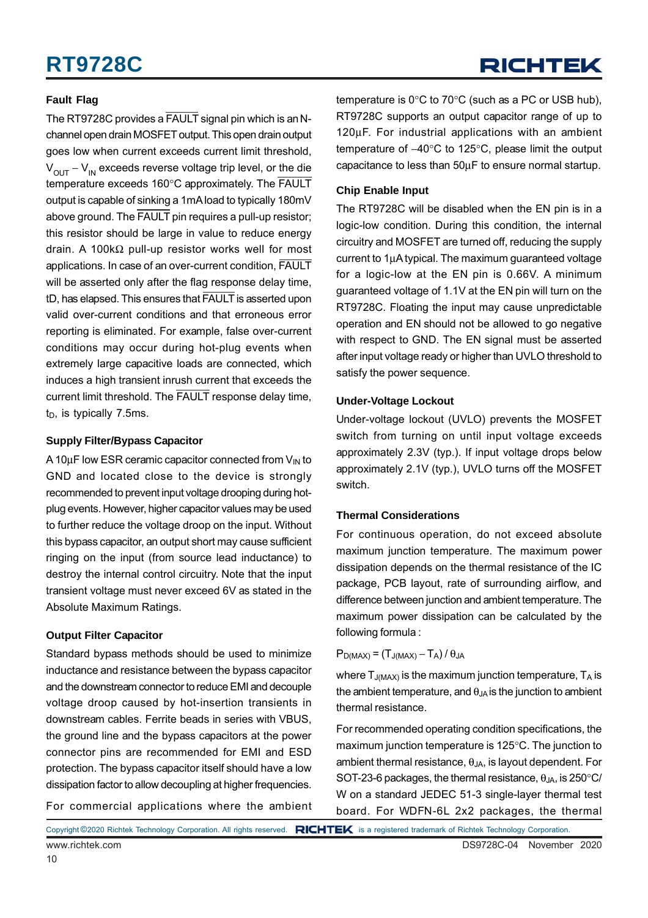#### **Fault Flag**

The RT9728C provides a FAULT signal pin which is an Nchannel open drain MOSFET output. This open drain output goes low when current exceeds current limit threshold,  $V<sub>OUT</sub> - V<sub>IN</sub>$  exceeds reverse voltage trip level, or the die temperature exceeds 160°C approximately. The FAULT output is capable of sinking a 1mA load to typically 180mV above ground. The FAULT pin requires a pull-up resistor; this resistor should be large in value to reduce energy drain. A 100kΩ pull-up resistor works well for most applications. In case of an over-current condition, FAULT will be asserted only after the flag response delay time, tD, has elapsed. This ensures that FAULT is asserted upon valid over-current conditions and that erroneous error reporting is eliminated. For example, false over-current conditions may occur during hot-plug events when extremely large capacitive loads are connected, which induces a high transient inrush current that exceeds the current limit threshold. The FAULT response delay time,  $t_D$ , is typically 7.5ms.

#### **Supply Filter/Bypass Capacitor**

A 10 $\mu$ F low ESR ceramic capacitor connected from  $V_{\text{IN}}$  to GND and located close to the device is strongly recommended to prevent input voltage drooping during hotplug events. However, higher capacitor values may be used to further reduce the voltage droop on the input. Without this bypass capacitor, an output short may cause sufficient ringing on the input (from source lead inductance) to destroy the internal control circuitry. Note that the input transient voltage must never exceed 6V as stated in the Absolute Maximum Ratings.

#### **Output Filter Capacitor**

Standard bypass methods should be used to minimize inductance and resistance between the bypass capacitor and the downstream connector to reduce EMI and decouple voltage droop caused by hot-insertion transients in downstream cables. Ferrite beads in series with VBUS, the ground line and the bypass capacitors at the power connector pins are recommended for EMI and ESD protection. The bypass capacitor itself should have a low dissipation factor to allow decoupling at higher frequencies.

For commercial applications where the ambient

temperature is 0°C to 70°C (such as a PC or USB hub), RT9728C supports an output capacitor range of up to 120μF. For industrial applications with an ambient temperature of −40°C to 125°C, please limit the output capacitance to less than 50μF to ensure normal startup.

#### **Chip Enable Input**

The RT9728C will be disabled when the EN pin is in a logic-low condition. During this condition, the internal circuitry and MOSFET are turned off, reducing the supply current to 1μA typical. The maximum guaranteed voltage for a logic-low at the EN pin is 0.66V. A minimum guaranteed voltage of 1.1V at the EN pin will turn on the RT9728C. Floating the input may cause unpredictable operation and EN should not be allowed to go negative with respect to GND. The EN signal must be asserted after input voltage ready or higher than UVLO threshold to satisfy the power sequence.

#### **Under-Voltage Lockout**

Under-voltage lockout (UVLO) prevents the MOSFET switch from turning on until input voltage exceeds approximately 2.3V (typ.). If input voltage drops below approximately 2.1V (typ.), UVLO turns off the MOSFET switch.

#### **Thermal Considerations**

For continuous operation, do not exceed absolute maximum junction temperature. The maximum power dissipation depends on the thermal resistance of the IC package, PCB layout, rate of surrounding airflow, and difference between junction and ambient temperature. The maximum power dissipation can be calculated by the following formula :

#### $P_{D(MAX)} = (T_{J(MAX)} - T_A)/\theta_{JA}$

where  $T_{J(MAX)}$  is the maximum junction temperature,  $T_A$  is the ambient temperature, and  $\theta_{JA}$  is the junction to ambient thermal resistance.

For recommended operating condition specifications, the maximum junction temperature is 125°C. The junction to ambient thermal resistance,  $\theta_{JA}$ , is layout dependent. For SOT-23-6 packages, the thermal resistance,  $\theta_{JA}$ , is 250 $\degree$ C/ W on a standard JEDEC 51-3 single-layer thermal test board. For WDFN-6L 2x2 packages, the thermal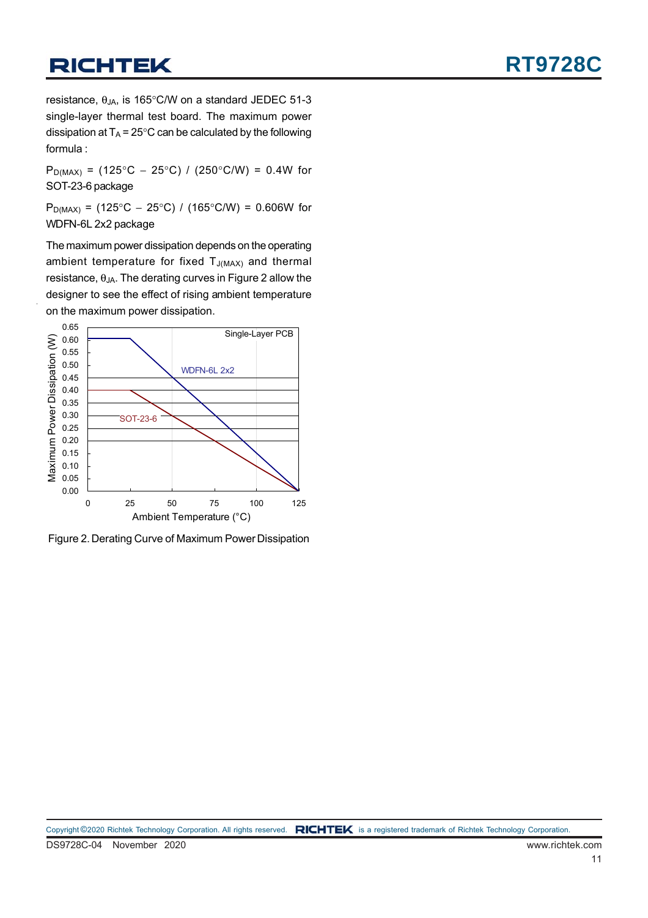resistance,  $\theta_{JA}$ , is 165°C/W on a standard JEDEC 51-3 single-layer thermal test board. The maximum power dissipation at  $T_A = 25^{\circ}$ C can be calculated by the following formula :

P<sub>D(MAX)</sub> = (125°C – 25°C) / (250°C/W) = 0.4W for SOT-23-6 package

 $P_{D(MAX)}$  = (125°C − 25°C) / (165°C/W) = 0.606W for WDFN-6L 2x2 package

The maximum power dissipation depends on the operating ambient temperature for fixed  $T_{J(MAX)}$  and thermal resistance,  $\theta_{JA}$ . The derating curves in Figure 2 allow the designer to see the effect of rising ambient temperature on the maximum power dissipation.



Figure 2. Derating Curve of Maximum Power Dissipation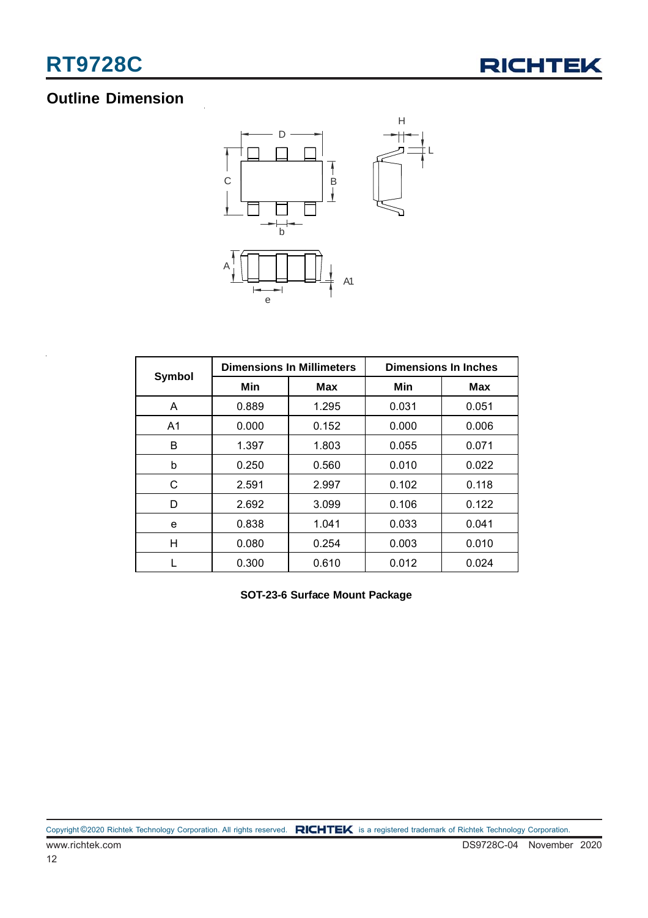

## **Outline Dimension**



|                |       | <b>Dimensions In Millimeters</b> | <b>Dimensions In Inches</b> |            |  |
|----------------|-------|----------------------------------|-----------------------------|------------|--|
| Symbol         | Min   | Max                              | Min                         | <b>Max</b> |  |
| A              | 0.889 | 1.295                            | 0.031                       | 0.051      |  |
| A <sub>1</sub> | 0.000 | 0.152                            | 0.000                       | 0.006      |  |
| B              | 1.397 | 1.803                            | 0.055                       | 0.071      |  |
| b              | 0.250 | 0.560                            | 0.010                       | 0.022      |  |
| C              | 2.591 | 2.997                            | 0.102                       | 0.118      |  |
| D              | 2.692 | 3.099                            | 0.106                       | 0.122      |  |
| e              | 0.838 | 1.041                            | 0.033                       | 0.041      |  |
| н              | 0.080 | 0.254                            | 0.003                       | 0.010      |  |
|                | 0.300 | 0.610                            | 0.012                       | 0.024      |  |

**SOT-23-6 Surface Mount Package**